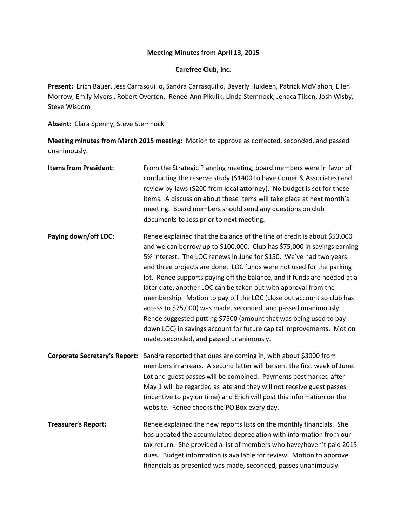## **Meeting Minutes from April 13, 2015**

## **Carefree Club, Inc.**

**Present:** Erich Bauer, Jess Carrasquillo, Sandra Carrasquillo, Beverly Huldeen, Patrick McMahon, Ellen Morrow, Emily Myers , Robert Overton, Renee-Ann Pikulik, Linda Stemnock, Jenaca Tilson, Josh Wisby, Steve Wisdom

**Absent**: Clara Spenny, Steve Stemnock

**Meeting minutes from March 2015 meeting:** Motion to approve as corrected, seconded, and passed unanimously.

| <b>Items from President:</b>         | From the Strategic Planning meeting, board members were in favor of<br>conducting the reserve study (\$1400 to have Comer & Associates) and<br>review by-laws (\$200 from local attorney). No budget is set for these<br>items. A discussion about these items will take place at next month's<br>meeting. Board members should send any questions on club<br>documents to Jess prior to next meeting.                                                                                                                                                                                                                                                                                                                                                                              |
|--------------------------------------|-------------------------------------------------------------------------------------------------------------------------------------------------------------------------------------------------------------------------------------------------------------------------------------------------------------------------------------------------------------------------------------------------------------------------------------------------------------------------------------------------------------------------------------------------------------------------------------------------------------------------------------------------------------------------------------------------------------------------------------------------------------------------------------|
| Paying down/off LOC:                 | Renee explained that the balance of the line of credit is about \$53,000<br>and we can borrow up to \$100,000. Club has \$75,000 in savings earning<br>5% interest. The LOC renews in June for \$150. We've had two years<br>and three projects are done. LOC funds were not used for the parking<br>lot. Renee supports paying off the balance, and if funds are needed at a<br>later date, another LOC can be taken out with approval from the<br>membership. Motion to pay off the LOC (close out account so club has<br>access to \$75,000) was made, seconded, and passed unanimously.<br>Renee suggested putting \$7500 (amount that was being used to pay<br>down LOC) in savings account for future capital improvements. Motion<br>made, seconded, and passed unanimously. |
| <b>Corporate Secretary's Report:</b> | Sandra reported that dues are coming in, with about \$3000 from<br>members in arrears. A second letter will be sent the first week of June.<br>Lot and guest passes will be combined. Payments postmarked after<br>May 1 will be regarded as late and they will not receive guest passes<br>(incentive to pay on time) and Erich will post this information on the<br>website. Renee checks the PO Box every day.                                                                                                                                                                                                                                                                                                                                                                   |
| <b>Treasurer's Report:</b>           | Renee explained the new reports lists on the monthly financials. She<br>has updated the accumulated depreciation with information from our<br>tax return. She provided a list of members who have/haven't paid 2015<br>dues. Budget information is available for review. Motion to approve<br>financials as presented was made, seconded, passes unanimously.                                                                                                                                                                                                                                                                                                                                                                                                                       |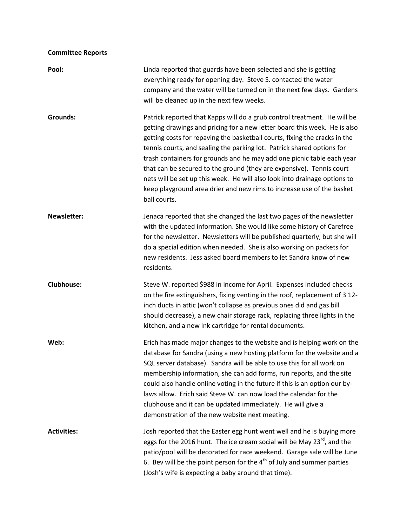## **Committee Reports**

| Pool:              | Linda reported that guards have been selected and she is getting<br>everything ready for opening day. Steve S. contacted the water<br>company and the water will be turned on in the next few days. Gardens<br>will be cleaned up in the next few weeks.                                                                                                                                                                                                                                                                                                                                                                              |
|--------------------|---------------------------------------------------------------------------------------------------------------------------------------------------------------------------------------------------------------------------------------------------------------------------------------------------------------------------------------------------------------------------------------------------------------------------------------------------------------------------------------------------------------------------------------------------------------------------------------------------------------------------------------|
| Grounds:           | Patrick reported that Kapps will do a grub control treatment. He will be<br>getting drawings and pricing for a new letter board this week. He is also<br>getting costs for repaving the basketball courts, fixing the cracks in the<br>tennis courts, and sealing the parking lot. Patrick shared options for<br>trash containers for grounds and he may add one picnic table each year<br>that can be secured to the ground (they are expensive). Tennis court<br>nets will be set up this week. He will also look into drainage options to<br>keep playground area drier and new rims to increase use of the basket<br>ball courts. |
| <b>Newsletter:</b> | Jenaca reported that she changed the last two pages of the newsletter<br>with the updated information. She would like some history of Carefree<br>for the newsletter. Newsletters will be published quarterly, but she will<br>do a special edition when needed. She is also working on packets for<br>new residents. Jess asked board members to let Sandra know of new<br>residents.                                                                                                                                                                                                                                                |
| <b>Clubhouse:</b>  | Steve W. reported \$988 in income for April. Expenses included checks<br>on the fire extinguishers, fixing venting in the roof, replacement of 3 12-<br>inch ducts in attic (won't collapse as previous ones did and gas bill<br>should decrease), a new chair storage rack, replacing three lights in the<br>kitchen, and a new ink cartridge for rental documents.                                                                                                                                                                                                                                                                  |
| Web:               | Erich has made major changes to the website and is helping work on the<br>database for Sandra (using a new hosting platform for the website and a<br>SQL server database). Sandra will be able to use this for all work on<br>membership information, she can add forms, run reports, and the site<br>could also handle online voting in the future if this is an option our by-<br>laws allow. Erich said Steve W. can now load the calendar for the<br>clubhouse and it can be updated immediately. He will give a<br>demonstration of the new website next meeting.                                                                |
| <b>Activities:</b> | Josh reported that the Easter egg hunt went well and he is buying more<br>eggs for the 2016 hunt. The ice cream social will be May 23 <sup>rd</sup> , and the<br>patio/pool will be decorated for race weekend. Garage sale will be June<br>6. Bev will be the point person for the $4th$ of July and summer parties<br>(Josh's wife is expecting a baby around that time).                                                                                                                                                                                                                                                           |